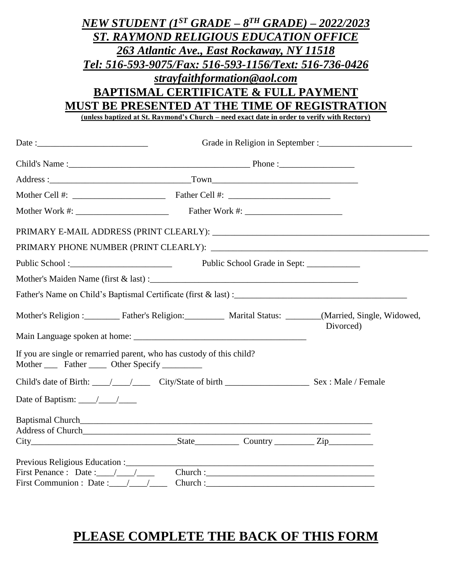|                                                                                                                                                                                                                               | NEW STUDENT $(I^{ST} \text{ GRAPH} - 8^{TH} \text{ GRAPH}) - 2022/2023$                     |                              |                                                                                                          |  |  |  |
|-------------------------------------------------------------------------------------------------------------------------------------------------------------------------------------------------------------------------------|---------------------------------------------------------------------------------------------|------------------------------|----------------------------------------------------------------------------------------------------------|--|--|--|
|                                                                                                                                                                                                                               | <b>ST. RAYMOND RELIGIOUS EDUCATION OFFICE</b>                                               |                              |                                                                                                          |  |  |  |
|                                                                                                                                                                                                                               | 263 Atlantic Ave., East Rockaway, NY 11518                                                  |                              |                                                                                                          |  |  |  |
|                                                                                                                                                                                                                               | Tel: 516-593-9075/Fax: 516-593-1156/Text: 516-736-0426                                      |                              |                                                                                                          |  |  |  |
|                                                                                                                                                                                                                               |                                                                                             | strayfaithformation@aol.com  |                                                                                                          |  |  |  |
|                                                                                                                                                                                                                               | <b>BAPTISMAL CERTIFICATE &amp; FULL PAYMENT</b>                                             |                              |                                                                                                          |  |  |  |
|                                                                                                                                                                                                                               | MUST BE PRESENTED AT THE TIME OF REGISTRATION                                               |                              |                                                                                                          |  |  |  |
|                                                                                                                                                                                                                               | (unless baptized at St. Raymond's Church – need exact date in order to verify with Rectory) |                              |                                                                                                          |  |  |  |
|                                                                                                                                                                                                                               |                                                                                             |                              |                                                                                                          |  |  |  |
|                                                                                                                                                                                                                               |                                                                                             |                              |                                                                                                          |  |  |  |
|                                                                                                                                                                                                                               |                                                                                             |                              |                                                                                                          |  |  |  |
|                                                                                                                                                                                                                               |                                                                                             |                              |                                                                                                          |  |  |  |
|                                                                                                                                                                                                                               |                                                                                             |                              |                                                                                                          |  |  |  |
|                                                                                                                                                                                                                               |                                                                                             |                              |                                                                                                          |  |  |  |
|                                                                                                                                                                                                                               |                                                                                             |                              |                                                                                                          |  |  |  |
|                                                                                                                                                                                                                               |                                                                                             | Public School Grade in Sept: |                                                                                                          |  |  |  |
|                                                                                                                                                                                                                               |                                                                                             |                              |                                                                                                          |  |  |  |
|                                                                                                                                                                                                                               |                                                                                             |                              |                                                                                                          |  |  |  |
|                                                                                                                                                                                                                               |                                                                                             |                              | Mother's Religion : Father's Religion: Marital Status: _________ (Married, Single, Widowed,<br>Divorced) |  |  |  |
|                                                                                                                                                                                                                               |                                                                                             |                              |                                                                                                          |  |  |  |
| If you are single or remarried parent, who has custody of this child?<br>Mother ______ Father ______ Other Specify __________                                                                                                 |                                                                                             |                              |                                                                                                          |  |  |  |
|                                                                                                                                                                                                                               |                                                                                             |                              |                                                                                                          |  |  |  |
| Date of Baptism: $\frac{1}{\sqrt{1-\frac{1}{2}}}$                                                                                                                                                                             |                                                                                             |                              |                                                                                                          |  |  |  |
| Baptismal Church Channels and the contract of the contract of the contract of the contract of the contract of the contract of the contract of the contract of the contract of the contract of the contract of the contract of |                                                                                             |                              |                                                                                                          |  |  |  |
|                                                                                                                                                                                                                               |                                                                                             |                              |                                                                                                          |  |  |  |
| $City$ City $\qquad \qquad \qquad$ Country $\qquad \qquad$ Zip                                                                                                                                                                |                                                                                             |                              |                                                                                                          |  |  |  |
| Previous Religious Education :                                                                                                                                                                                                |                                                                                             |                              |                                                                                                          |  |  |  |
| First Penance : Date : $\angle$                                                                                                                                                                                               |                                                                                             |                              |                                                                                                          |  |  |  |
| First Communion : Date : $\angle$ / $\angle$                                                                                                                                                                                  |                                                                                             |                              |                                                                                                          |  |  |  |

## **PLEASE COMPLETE THE BACK OF THIS FORM**